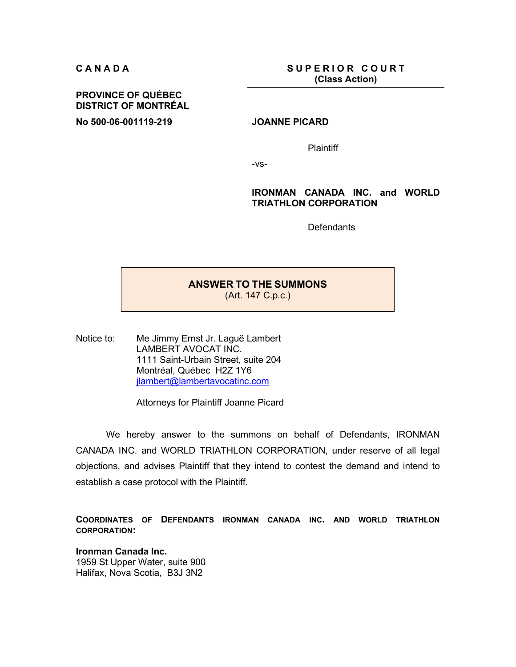**CANADA** SUPERIOR COURT **(Class Action)**

## **PROVINCE OF QUÉBEC DISTRICT OF MONTRÉAL**

**No 500-06-001119-219 JOANNE PICARD** 

**Plaintiff** 

-vs-

### **IRONMAN CANADA INC. and WORLD TRIATHLON CORPORATION**

**Defendants** 

# **ANSWER TO THE SUMMONS**

(Art. 147 C.p.c.)

Notice to: Me Jimmy Ernst Jr. Laguë Lambert LAMBERT AVOCAT INC. 1111 Saint-Urbain Street, suite 204 Montréal, Québec H2Z 1Y6 jlambert@lambertavocatinc.com

Attorneys for Plaintiff Joanne Picard

We hereby answer to the summons on behalf of Defendants, IRONMAN CANADA INC. and WORLD TRIATHLON CORPORATION, under reserve of all legal objections, and advises Plaintiff that they intend to contest the demand and intend to establish a case protocol with the Plaintiff.

**COORDINATES OF DEFENDANTS IRONMAN CANADA INC. AND WORLD TRIATHLON CORPORATION:** 

**Ironman Canada Inc.**  1959 St Upper Water, suite 900 Halifax, Nova Scotia, B3J 3N2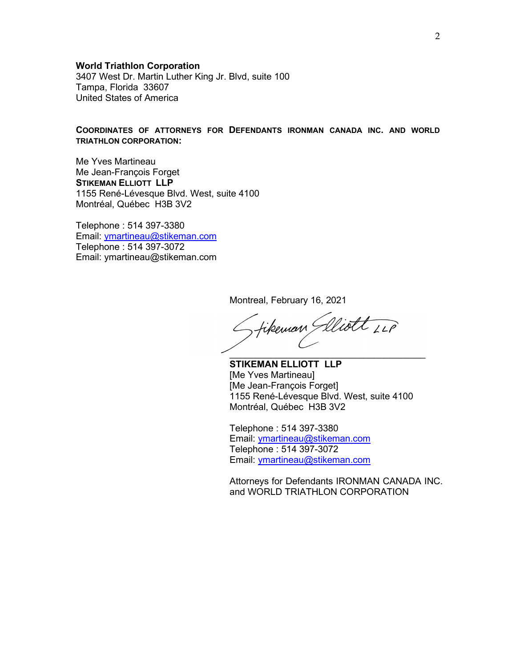### **World Triathlon Corporation**

3407 West Dr. Martin Luther King Jr. Blvd, suite 100 Tampa, Florida 33607 United States of America

### **COORDINATES OF ATTORNEYS FOR DEFENDANTS IRONMAN CANADA INC. AND WORLD TRIATHLON CORPORATION:**

Me Yves Martineau Me Jean-François Forget **STIKEMAN ELLIOTT LLP**  1155 René-Lévesque Blvd. West, suite 4100 Montréal, Québec H3B 3V2

Telephone : 514 397-3380 Email: ymartineau@stikeman.com Telephone : 514 397-3072 Email: ymartineau@stikeman.com

Montreal, February 16, 2021

fikeman Glliott ILP  $\frac{1}{2}$  , and the set of the set of the set of the set of the set of the set of the set of the set of the set of the set of the set of the set of the set of the set of the set of the set of the set of the set of the set

**STIKEMAN ELLIOTT LLP**  [Me Yves Martineau] [Me Jean-François Forget] 1155 René-Lévesque Blvd. West, suite 4100 Montréal, Québec H3B 3V2

Telephone : 514 397-3380 Email: ymartineau@stikeman.com Telephone : 514 397-3072 Email: ymartineau@stikeman.com

Attorneys for Defendants IRONMAN CANADA INC. and WORLD TRIATHLON CORPORATION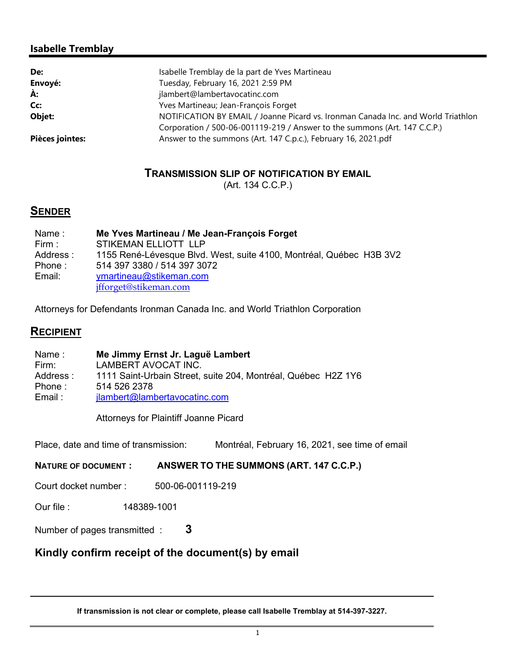## **Isabelle Tremblay**

| De:             | Isabelle Tremblay de la part de Yves Martineau                                    |
|-----------------|-----------------------------------------------------------------------------------|
| Envoyé:         | Tuesday, February 16, 2021 2:59 PM                                                |
| À:              | jlambert@lambertavocatinc.com                                                     |
| Cc:             | Yves Martineau; Jean-François Forget                                              |
| Objet:          | NOTIFICATION BY EMAIL / Joanne Picard vs. Ironman Canada Inc. and World Triathlon |
|                 | Corporation / 500-06-001119-219 / Answer to the summons (Art. 147 C.C.P.)         |
| Pièces jointes: | Answer to the summons (Art. 147 C.p.c.), February 16, 2021.pdf                    |

## **TRANSMISSION SLIP OF NOTIFICATION BY EMAIL**

(Art. 134 C.C.P.)

# **SENDER**

| Name:    | Me Yves Martineau / Me Jean-François Forget                         |
|----------|---------------------------------------------------------------------|
| Firm :   | STIKEMAN ELLIOTT LLP                                                |
| Address: | 1155 René-Lévesque Blvd. West, suite 4100, Montréal, Québec H3B 3V2 |
| Phone :  | 514 397 3380 / 514 397 3072                                         |
| Email:   | ymartineau@stikeman.com                                             |
|          | jfforget@stikeman.com                                               |

Attorneys for Defendants Ironman Canada Inc. and World Triathlon Corporation

## **RECIPIENT**

Name : Firm: Address : Phone : Email : **Me Jimmy Ernst Jr. Laguë Lambert**  LAMBERT AVOCAT INC. 1111 Saint-Urbain Street, suite 204, Montréal, Québec H2Z 1Y6 514 526 2378 jlambert@lambertavocatinc.com

Attorneys for Plaintiff Joanne Picard

Place, date and time of transmission: Montréal, February 16, 2021, see time of email

**NATURE OF DOCUMENT : ANSWER TO THE SUMMONS (ART. 147 C.C.P.)**

Court docket number : 500-06-001119-219

Our file : 148389-1001

Number of pages transmitted : **3**

# **Kindly confirm receipt of the document(s) by email**

**If transmission is not clear or complete, please call Isabelle Tremblay at 514-397-3227.**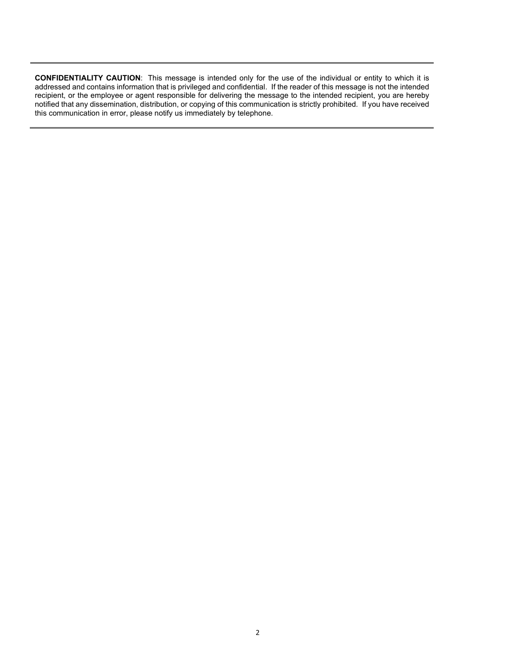**CONFIDENTIALITY CAUTION**: This message is intended only for the use of the individual or entity to which it is addressed and contains information that is privileged and confidential. If the reader of this message is not the intended recipient, or the employee or agent responsible for delivering the message to the intended recipient, you are hereby notified that any dissemination, distribution, or copying of this communication is strictly prohibited. If you have received this communication in error, please notify us immediately by telephone.